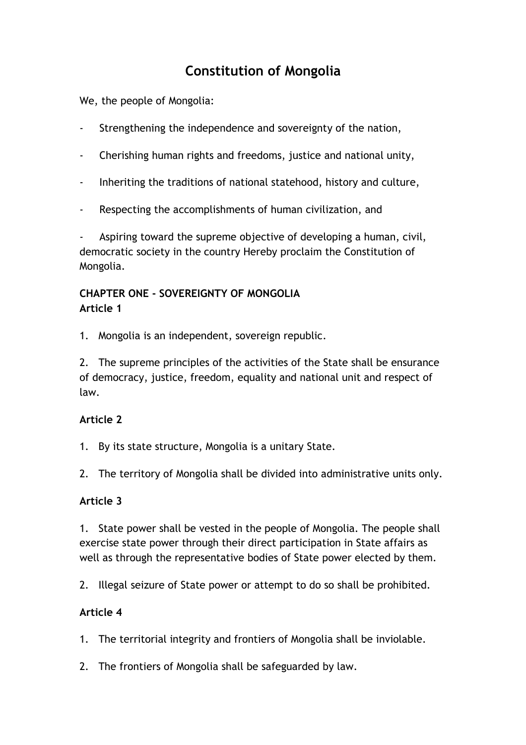# **Constitution of Mongolia**

We, the people of Mongolia:

- Strengthening the independence and sovereignty of the nation,
- Cherishing human rights and freedoms, justice and national unity,
- Inheriting the traditions of national statehood, history and culture,
- Respecting the accomplishments of human civilization, and

Aspiring toward the supreme objective of developing a human, civil, democratic society in the country Hereby proclaim the Constitution of Mongolia.

### **CHAPTER ONE - SOVEREIGNTY OF MONGOLIA Article 1**

1. Mongolia is an independent, sovereign republic.

2. The supreme principles of the activities of the State shall be ensurance of democracy, justice, freedom, equality and national unit and respect of law.

#### **Article 2**

1. By its state structure, Mongolia is a unitary State.

2. The territory of Mongolia shall be divided into administrative units only.

#### **Article 3**

1. State power shall be vested in the people of Mongolia. The people shall exercise state power through their direct participation in State affairs as well as through the representative bodies of State power elected by them.

2. Illegal seizure of State power or attempt to do so shall be prohibited.

#### **Article 4**

1. The territorial integrity and frontiers of Mongolia shall be inviolable.

2. The frontiers of Mongolia shall be safeguarded by law.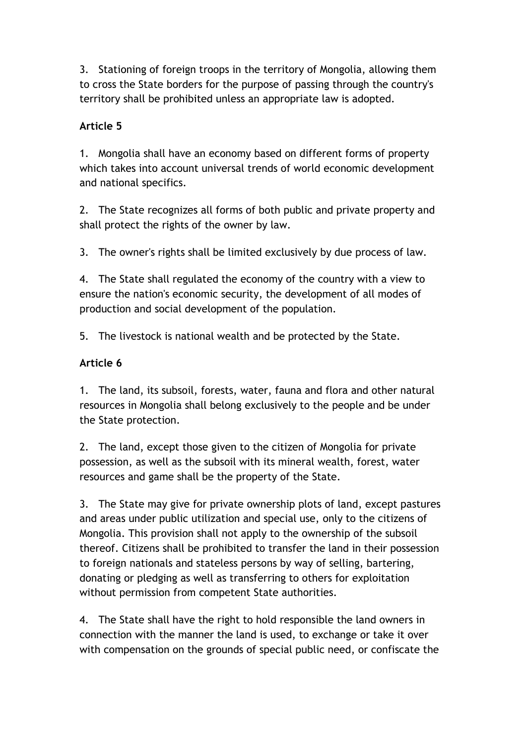3. Stationing of foreign troops in the territory of Mongolia, allowing them to cross the State borders for the purpose of passing through the country's territory shall be prohibited unless an appropriate law is adopted.

### **Article 5**

1. Mongolia shall have an economy based on different forms of property which takes into account universal trends of world economic development and national specifics.

2. The State recognizes all forms of both public and private property and shall protect the rights of the owner by law.

3. The owner's rights shall be limited exclusively by due process of law.

4. The State shall regulated the economy of the country with a view to ensure the nation's economic security, the development of all modes of production and social development of the population.

5. The livestock is national wealth and be protected by the State.

### **Article 6**

1. The land, its subsoil, forests, water, fauna and flora and other natural resources in Mongolia shall belong exclusively to the people and be under the State protection.

2. The land, except those given to the citizen of Mongolia for private possession, as well as the subsoil with its mineral wealth, forest, water resources and game shall be the property of the State.

3. The State may give for private ownership plots of land, except pastures and areas under public utilization and special use, only to the citizens of Mongolia. This provision shall not apply to the ownership of the subsoil thereof. Citizens shall be prohibited to transfer the land in their possession to foreign nationals and stateless persons by way of selling, bartering, donating or pledging as well as transferring to others for exploitation without permission from competent State authorities.

4. The State shall have the right to hold responsible the land owners in connection with the manner the land is used, to exchange or take it over with compensation on the grounds of special public need, or confiscate the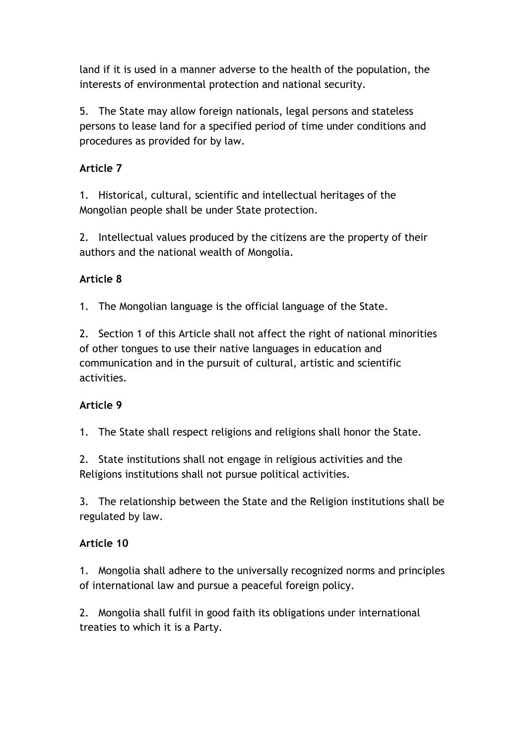land if it is used in a manner adverse to the health of the population, the interests of environmental protection and national security.

5. The State may allow foreign nationals, legal persons and stateless persons to lease land for a specified period of time under conditions and procedures as provided for by law.

#### **Article 7**

1. Historical, cultural, scientific and intellectual heritages of the Mongolian people shall be under State protection.

2. Intellectual values produced by the citizens are the property of their authors and the national wealth of Mongolia.

### **Article 8**

1. The Mongolian language is the official language of the State.

2. Section 1 of this Article shall not affect the right of national minorities of other tongues to use their native languages in education and communication and in the pursuit of cultural, artistic and scientific activities.

#### **Article 9**

1. The State shall respect religions and religions shall honor the State.

2. State institutions shall not engage in religious activities and the Religions institutions shall not pursue political activities.

3. The relationship between the State and the Religion institutions shall be regulated by law.

#### **Article 10**

1. Mongolia shall adhere to the universally recognized norms and principles of international law and pursue a peaceful foreign policy.

2. Mongolia shall fulfil in good faith its obligations under international treaties to which it is a Party.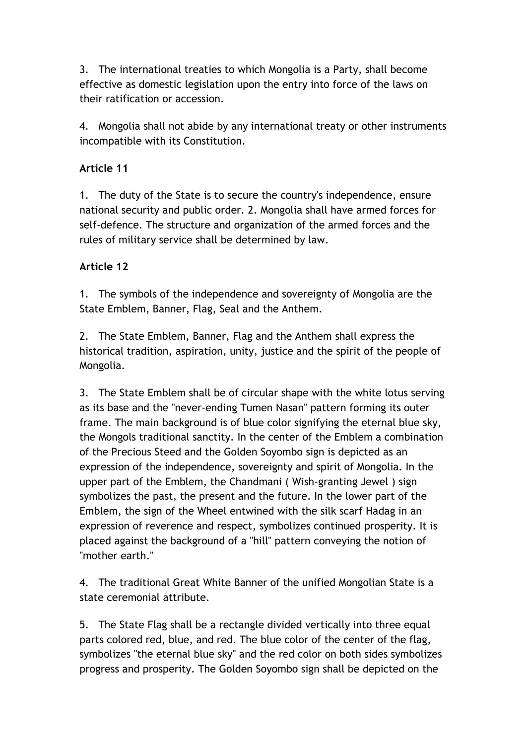3. The international treaties to which Mongolia is a Party, shall become effective as domestic legislation upon the entry into force of the laws on their ratification or accession.

4. Mongolia shall not abide by any international treaty or other instruments incompatible with its Constitution.

#### **Article 11**

1. The duty of the State is to secure the country's independence, ensure national security and public order. 2. Mongolia shall have armed forces for self-defence. The structure and organization of the armed forces and the rules of military service shall be determined by law.

#### **Article 12**

1. The symbols of the independence and sovereignty of Mongolia are the State Emblem, Banner, Flag, Seal and the Anthem.

2. The State Emblem, Banner, Flag and the Anthem shall express the historical tradition, aspiration, unity, justice and the spirit of the people of Mongolia.

3. The State Emblem shall be of circular shape with the white lotus serving as its base and the "never-ending Tumen Nasan" pattern forming its outer frame. The main background is of blue color signifying the eternal blue sky, the Mongols traditional sanctity. In the center of the Emblem a combination of the Precious Steed and the Golden Soyombo sign is depicted as an expression of the independence, sovereignty and spirit of Mongolia. In the upper part of the Emblem, the Chandmani ( Wish-granting Jewel ) sign symbolizes the past, the present and the future. In the lower part of the Emblem, the sign of the Wheel entwined with the silk scarf Hadag in an expression of reverence and respect, symbolizes continued prosperity. It is placed against the background of a "hill" pattern conveying the notion of "mother earth."

4. The traditional Great White Banner of the unified Mongolian State is a state ceremonial attribute.

5. The State Flag shall be a rectangle divided vertically into three equal parts colored red, blue, and red. The blue color of the center of the flag, symbolizes "the eternal blue sky" and the red color on both sides symbolizes progress and prosperity. The Golden Soyombo sign shall be depicted on the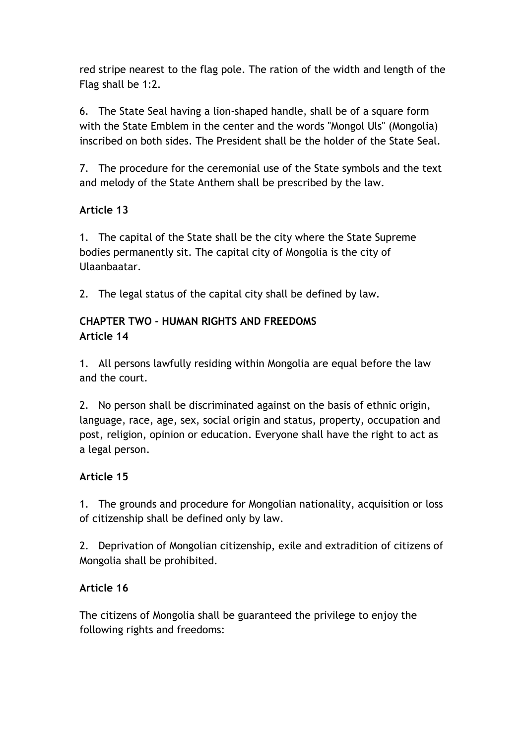red stripe nearest to the flag pole. The ration of the width and length of the Flag shall be 1:2.

6. The State Seal having a lion-shaped handle, shall be of a square form with the State Emblem in the center and the words "Mongol Uls" (Mongolia) inscribed on both sides. The President shall be the holder of the State Seal.

7. The procedure for the ceremonial use of the State symbols and the text and melody of the State Anthem shall be prescribed by the law.

# **Article 13**

1. The capital of the State shall be the city where the State Supreme bodies permanently sit. The capital city of Mongolia is the city of Ulaanbaatar.

2. The legal status of the capital city shall be defined by law.

### **CHAPTER TWO - HUMAN RIGHTS AND FREEDOMS Article 14**

1. All persons lawfully residing within Mongolia are equal before the law and the court.

2. No person shall be discriminated against on the basis of ethnic origin, language, race, age, sex, social origin and status, property, occupation and post, religion, opinion or education. Everyone shall have the right to act as a legal person.

# **Article 15**

1. The grounds and procedure for Mongolian nationality, acquisition or loss of citizenship shall be defined only by law.

2. Deprivation of Mongolian citizenship, exile and extradition of citizens of Mongolia shall be prohibited.

# **Article 16**

The citizens of Mongolia shall be guaranteed the privilege to enjoy the following rights and freedoms: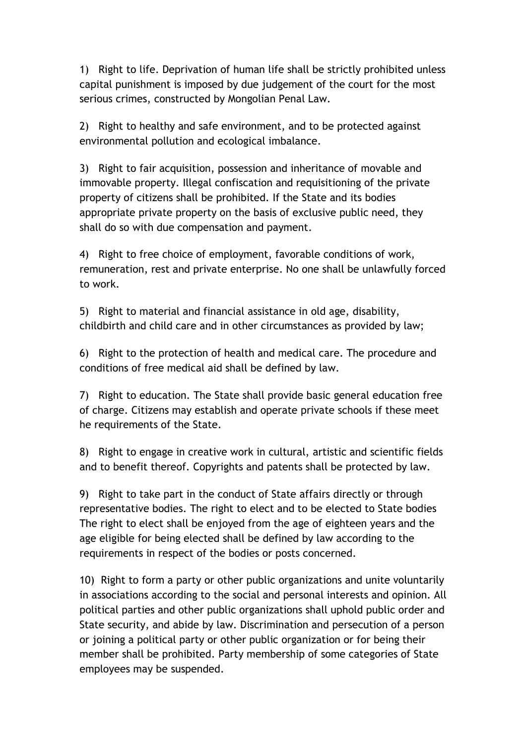1) Right to life. Deprivation of human life shall be strictly prohibited unless capital punishment is imposed by due judgement of the court for the most serious crimes, constructed by Mongolian Penal Law.

2) Right to healthy and safe environment, and to be protected against environmental pollution and ecological imbalance.

3) Right to fair acquisition, possession and inheritance of movable and immovable property. Illegal confiscation and requisitioning of the private property of citizens shall be prohibited. If the State and its bodies appropriate private property on the basis of exclusive public need, they shall do so with due compensation and payment.

4) Right to free choice of employment, favorable conditions of work, remuneration, rest and private enterprise. No one shall be unlawfully forced to work.

5) Right to material and financial assistance in old age, disability, childbirth and child care and in other circumstances as provided by law;

6) Right to the protection of health and medical care. The procedure and conditions of free medical aid shall be defined by law.

7) Right to education. The State shall provide basic general education free of charge. Citizens may establish and operate private schools if these meet he requirements of the State.

8) Right to engage in creative work in cultural, artistic and scientific fields and to benefit thereof. Copyrights and patents shall be protected by law.

9) Right to take part in the conduct of State affairs directly or through representative bodies. The right to elect and to be elected to State bodies The right to elect shall be enjoyed from the age of eighteen years and the age eligible for being elected shall be defined by law according to the requirements in respect of the bodies or posts concerned.

10) Right to form a party or other public organizations and unite voluntarily in associations according to the social and personal interests and opinion. All political parties and other public organizations shall uphold public order and State security, and abide by law. Discrimination and persecution of a person or joining a political party or other public organization or for being their member shall be prohibited. Party membership of some categories of State employees may be suspended.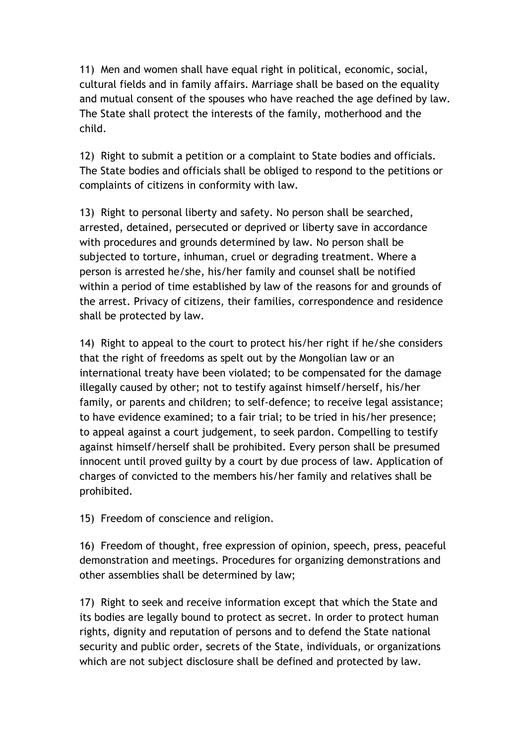11) Men and women shall have equal right in political, economic, social, cultural fields and in family affairs. Marriage shall be based on the equality and mutual consent of the spouses who have reached the age defined by law. The State shall protect the interests of the family, motherhood and the child.

12) Right to submit a petition or a complaint to State bodies and officials. The State bodies and officials shall be obliged to respond to the petitions or complaints of citizens in conformity with law.

13) Right to personal liberty and safety. No person shall be searched, arrested, detained, persecuted or deprived or liberty save in accordance with procedures and grounds determined by law. No person shall be subjected to torture, inhuman, cruel or degrading treatment. Where a person is arrested he/she, his/her family and counsel shall be notified within a period of time established by law of the reasons for and grounds of the arrest. Privacy of citizens, their families, correspondence and residence shall be protected by law.

14) Right to appeal to the court to protect his/her right if he/she considers that the right of freedoms as spelt out by the Mongolian law or an international treaty have been violated; to be compensated for the damage illegally caused by other; not to testify against himself/herself, his/her family, or parents and children; to self-defence; to receive legal assistance; to have evidence examined; to a fair trial; to be tried in his/her presence; to appeal against a court judgement, to seek pardon. Compelling to testify against himself/herself shall be prohibited. Every person shall be presumed innocent until proved guilty by a court by due process of law. Application of charges of convicted to the members his/her family and relatives shall be prohibited.

15) Freedom of conscience and religion.

16) Freedom of thought, free expression of opinion, speech, press, peaceful demonstration and meetings. Procedures for organizing demonstrations and other assemblies shall be determined by law;

17) Right to seek and receive information except that which the State and its bodies are legally bound to protect as secret. In order to protect human rights, dignity and reputation of persons and to defend the State national security and public order, secrets of the State, individuals, or organizations which are not subject disclosure shall be defined and protected by law.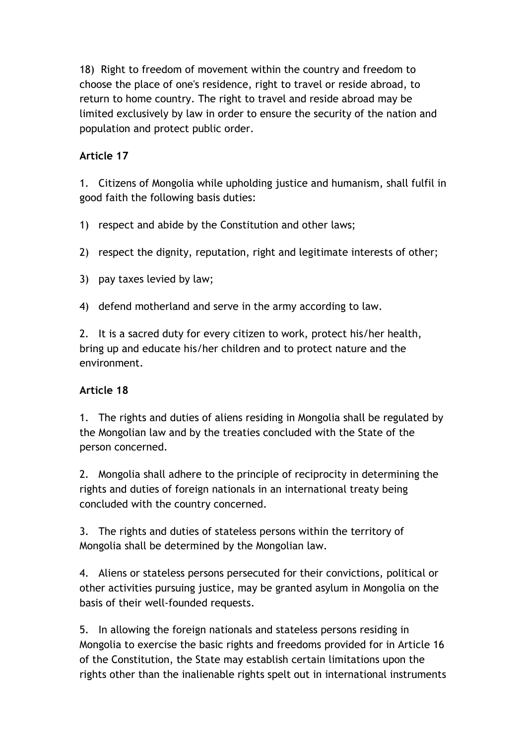18) Right to freedom of movement within the country and freedom to choose the place of one's residence, right to travel or reside abroad, to return to home country. The right to travel and reside abroad may be limited exclusively by law in order to ensure the security of the nation and population and protect public order.

#### **Article 17**

1. Citizens of Mongolia while upholding justice and humanism, shall fulfil in good faith the following basis duties:

1) respect and abide by the Constitution and other laws;

2) respect the dignity, reputation, right and legitimate interests of other;

3) pay taxes levied by law;

4) defend motherland and serve in the army according to law.

2. It is a sacred duty for every citizen to work, protect his/her health, bring up and educate his/her children and to protect nature and the environment.

#### **Article 18**

1. The rights and duties of aliens residing in Mongolia shall be regulated by the Mongolian law and by the treaties concluded with the State of the person concerned.

2. Mongolia shall adhere to the principle of reciprocity in determining the rights and duties of foreign nationals in an international treaty being concluded with the country concerned.

3. The rights and duties of stateless persons within the territory of Mongolia shall be determined by the Mongolian law.

4. Aliens or stateless persons persecuted for their convictions, political or other activities pursuing justice, may be granted asylum in Mongolia on the basis of their well-founded requests.

5. In allowing the foreign nationals and stateless persons residing in Mongolia to exercise the basic rights and freedoms provided for in Article 16 of the Constitution, the State may establish certain limitations upon the rights other than the inalienable rights spelt out in international instruments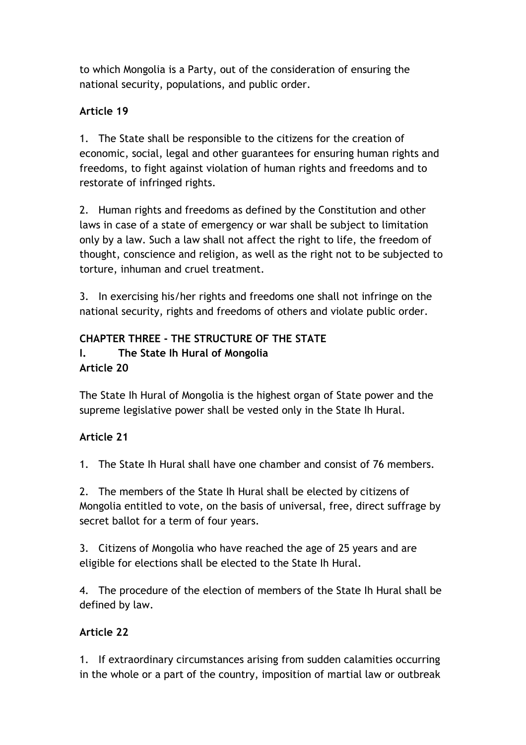to which Mongolia is a Party, out of the consideration of ensuring the national security, populations, and public order.

#### **Article 19**

1. The State shall be responsible to the citizens for the creation of economic, social, legal and other guarantees for ensuring human rights and freedoms, to fight against violation of human rights and freedoms and to restorate of infringed rights.

2. Human rights and freedoms as defined by the Constitution and other laws in case of a state of emergency or war shall be subject to limitation only by a law. Such a law shall not affect the right to life, the freedom of thought, conscience and religion, as well as the right not to be subjected to torture, inhuman and cruel treatment.

3. In exercising his/her rights and freedoms one shall not infringe on the national security, rights and freedoms of others and violate public order.

#### **CHAPTER THREE - THE STRUCTURE OF THE STATE I. The State Ih Hural of Mongolia Article 20**

The State Ih Hural of Mongolia is the highest organ of State power and the supreme legislative power shall be vested only in the State Ih Hural.

# **Article 21**

1. The State Ih Hural shall have one chamber and consist of 76 members.

2. The members of the State Ih Hural shall be elected by citizens of Mongolia entitled to vote, on the basis of universal, free, direct suffrage by secret ballot for a term of four years.

3. Citizens of Mongolia who have reached the age of 25 years and are eligible for elections shall be elected to the State Ih Hural.

4. The procedure of the election of members of the State Ih Hural shall be defined by law.

# **Article 22**

1. If extraordinary circumstances arising from sudden calamities occurring in the whole or a part of the country, imposition of martial law or outbreak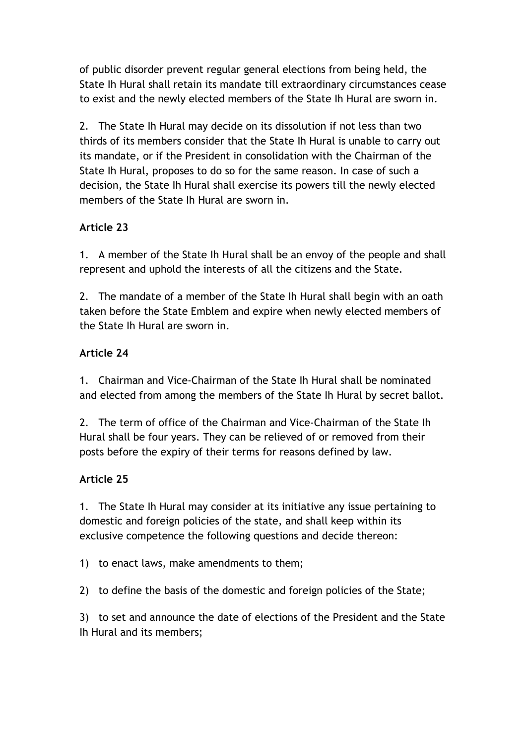of public disorder prevent regular general elections from being held, the State Ih Hural shall retain its mandate till extraordinary circumstances cease to exist and the newly elected members of the State Ih Hural are sworn in.

2. The State Ih Hural may decide on its dissolution if not less than two thirds of its members consider that the State Ih Hural is unable to carry out its mandate, or if the President in consolidation with the Chairman of the State Ih Hural, proposes to do so for the same reason. In case of such a decision, the State Ih Hural shall exercise its powers till the newly elected members of the State Ih Hural are sworn in.

### **Article 23**

1. A member of the State Ih Hural shall be an envoy of the people and shall represent and uphold the interests of all the citizens and the State.

2. The mandate of a member of the State Ih Hural shall begin with an oath taken before the State Emblem and expire when newly elected members of the State Ih Hural are sworn in.

### **Article 24**

1. Chairman and Vice-Chairman of the State Ih Hural shall be nominated and elected from among the members of the State Ih Hural by secret ballot.

2. The term of office of the Chairman and Vice-Chairman of the State Ih Hural shall be four years. They can be relieved of or removed from their posts before the expiry of their terms for reasons defined by law.

#### **Article 25**

1. The State Ih Hural may consider at its initiative any issue pertaining to domestic and foreign policies of the state, and shall keep within its exclusive competence the following questions and decide thereon:

1) to enact laws, make amendments to them;

2) to define the basis of the domestic and foreign policies of the State;

3) to set and announce the date of elections of the President and the State Ih Hural and its members;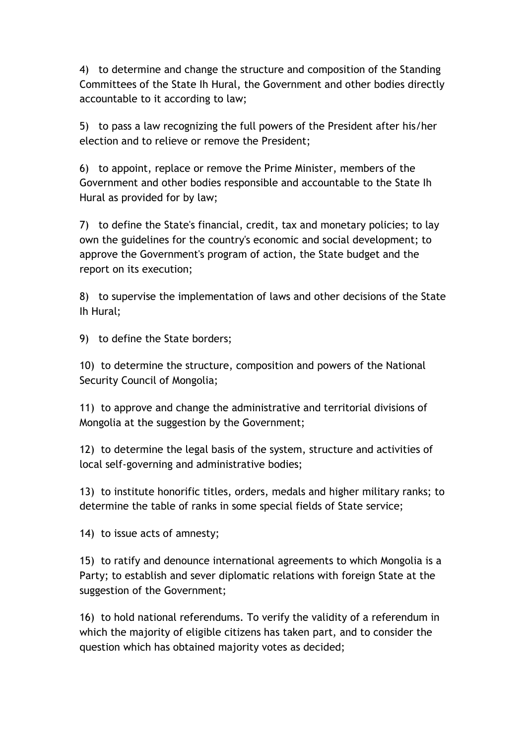4) to determine and change the structure and composition of the Standing Committees of the State Ih Hural, the Government and other bodies directly accountable to it according to law;

5) to pass a law recognizing the full powers of the President after his/her election and to relieve or remove the President;

6) to appoint, replace or remove the Prime Minister, members of the Government and other bodies responsible and accountable to the State Ih Hural as provided for by law;

7) to define the State's financial, credit, tax and monetary policies; to lay own the guidelines for the country's economic and social development; to approve the Government's program of action, the State budget and the report on its execution;

8) to supervise the implementation of laws and other decisions of the State Ih Hural;

9) to define the State borders;

10) to determine the structure, composition and powers of the National Security Council of Mongolia;

11) to approve and change the administrative and territorial divisions of Mongolia at the suggestion by the Government;

12) to determine the legal basis of the system, structure and activities of local self-governing and administrative bodies;

13) to institute honorific titles, orders, medals and higher military ranks; to determine the table of ranks in some special fields of State service;

14) to issue acts of amnesty;

15) to ratify and denounce international agreements to which Mongolia is a Party; to establish and sever diplomatic relations with foreign State at the suggestion of the Government;

16) to hold national referendums. To verify the validity of a referendum in which the majority of eligible citizens has taken part, and to consider the question which has obtained majority votes as decided;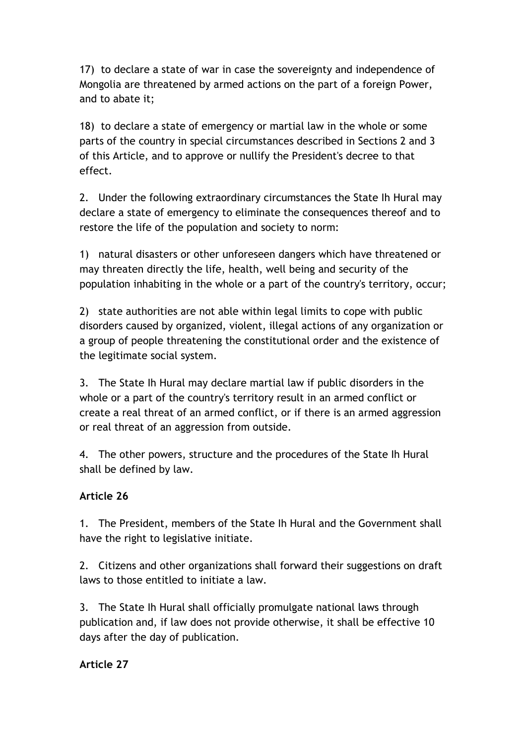17) to declare a state of war in case the sovereignty and independence of Mongolia are threatened by armed actions on the part of a foreign Power, and to abate it;

18) to declare a state of emergency or martial law in the whole or some parts of the country in special circumstances described in Sections 2 and 3 of this Article, and to approve or nullify the President's decree to that effect.

2. Under the following extraordinary circumstances the State Ih Hural may declare a state of emergency to eliminate the consequences thereof and to restore the life of the population and society to norm:

1) natural disasters or other unforeseen dangers which have threatened or may threaten directly the life, health, well being and security of the population inhabiting in the whole or a part of the country's territory, occur;

2) state authorities are not able within legal limits to cope with public disorders caused by organized, violent, illegal actions of any organization or a group of people threatening the constitutional order and the existence of the legitimate social system.

3. The State Ih Hural may declare martial law if public disorders in the whole or a part of the country's territory result in an armed conflict or create a real threat of an armed conflict, or if there is an armed aggression or real threat of an aggression from outside.

4. The other powers, structure and the procedures of the State Ih Hural shall be defined by law.

# **Article 26**

1. The President, members of the State Ih Hural and the Government shall have the right to legislative initiate.

2. Citizens and other organizations shall forward their suggestions on draft laws to those entitled to initiate a law.

3. The State Ih Hural shall officially promulgate national laws through publication and, if law does not provide otherwise, it shall be effective 10 days after the day of publication.

**Article 27**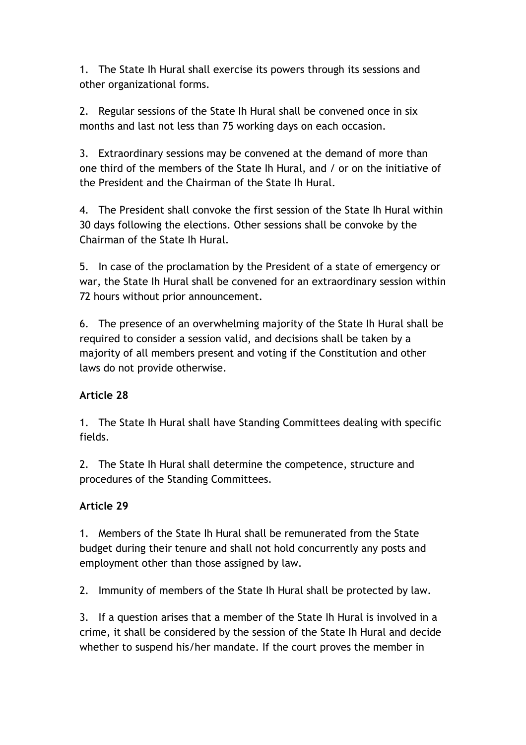1. The State Ih Hural shall exercise its powers through its sessions and other organizational forms.

2. Regular sessions of the State Ih Hural shall be convened once in six months and last not less than 75 working days on each occasion.

3. Extraordinary sessions may be convened at the demand of more than one third of the members of the State Ih Hural, and / or on the initiative of the President and the Chairman of the State Ih Hural.

4. The President shall convoke the first session of the State Ih Hural within 30 days following the elections. Other sessions shall be convoke by the Chairman of the State Ih Hural.

5. In case of the proclamation by the President of a state of emergency or war, the State Ih Hural shall be convened for an extraordinary session within 72 hours without prior announcement.

6. The presence of an overwhelming majority of the State Ih Hural shall be required to consider a session valid, and decisions shall be taken by a majority of all members present and voting if the Constitution and other laws do not provide otherwise.

#### **Article 28**

1. The State Ih Hural shall have Standing Committees dealing with specific fields.

2. The State Ih Hural shall determine the competence, structure and procedures of the Standing Committees.

#### **Article 29**

1. Members of the State Ih Hural shall be remunerated from the State budget during their tenure and shall not hold concurrently any posts and employment other than those assigned by law.

2. Immunity of members of the State Ih Hural shall be protected by law.

3. If a question arises that a member of the State Ih Hural is involved in a crime, it shall be considered by the session of the State Ih Hural and decide whether to suspend his/her mandate. If the court proves the member in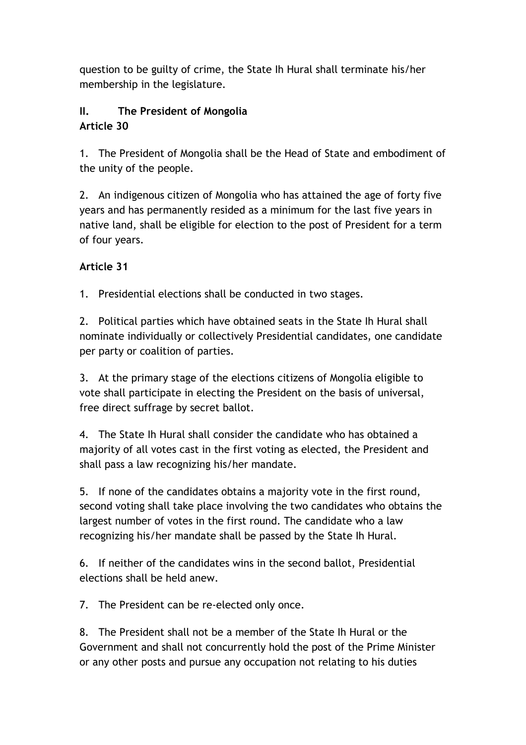question to be guilty of crime, the State Ih Hural shall terminate his/her membership in the legislature.

# **II. The President of Mongolia Article 30**

1. The President of Mongolia shall be the Head of State and embodiment of the unity of the people.

2. An indigenous citizen of Mongolia who has attained the age of forty five years and has permanently resided as a minimum for the last five years in native land, shall be eligible for election to the post of President for a term of four years.

### **Article 31**

1. Presidential elections shall be conducted in two stages.

2. Political parties which have obtained seats in the State Ih Hural shall nominate individually or collectively Presidential candidates, one candidate per party or coalition of parties.

3. At the primary stage of the elections citizens of Mongolia eligible to vote shall participate in electing the President on the basis of universal, free direct suffrage by secret ballot.

4. The State Ih Hural shall consider the candidate who has obtained a majority of all votes cast in the first voting as elected, the President and shall pass a law recognizing his/her mandate.

5. If none of the candidates obtains a majority vote in the first round, second voting shall take place involving the two candidates who obtains the largest number of votes in the first round. The candidate who a law recognizing his/her mandate shall be passed by the State Ih Hural.

6. If neither of the candidates wins in the second ballot, Presidential elections shall be held anew.

7. The President can be re-elected only once.

8. The President shall not be a member of the State Ih Hural or the Government and shall not concurrently hold the post of the Prime Minister or any other posts and pursue any occupation not relating to his duties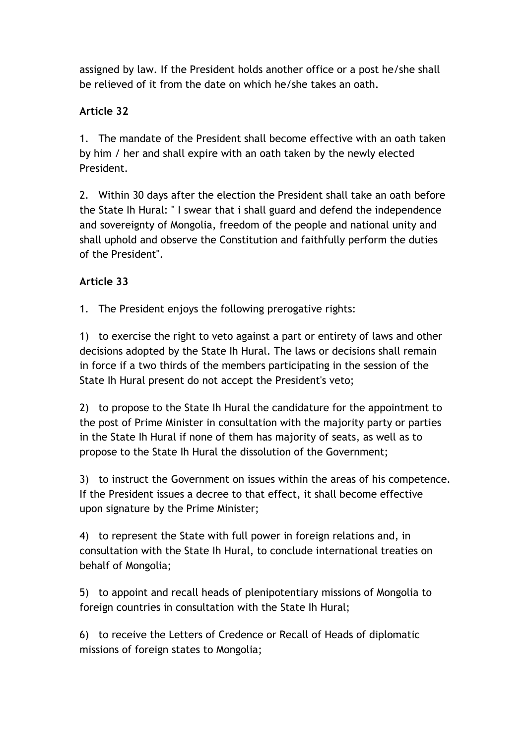assigned by law. If the President holds another office or a post he/she shall be relieved of it from the date on which he/she takes an oath.

#### **Article 32**

1. The mandate of the President shall become effective with an oath taken by him / her and shall expire with an oath taken by the newly elected President.

2. Within 30 days after the election the President shall take an oath before the State Ih Hural: " I swear that i shall guard and defend the independence and sovereignty of Mongolia, freedom of the people and national unity and shall uphold and observe the Constitution and faithfully perform the duties of the President".

#### **Article 33**

1. The President enjoys the following prerogative rights:

1) to exercise the right to veto against a part or entirety of laws and other decisions adopted by the State Ih Hural. The laws or decisions shall remain in force if a two thirds of the members participating in the session of the State Ih Hural present do not accept the President's veto;

2) to propose to the State Ih Hural the candidature for the appointment to the post of Prime Minister in consultation with the majority party or parties in the State Ih Hural if none of them has majority of seats, as well as to propose to the State Ih Hural the dissolution of the Government;

3) to instruct the Government on issues within the areas of his competence. If the President issues a decree to that effect, it shall become effective upon signature by the Prime Minister;

4) to represent the State with full power in foreign relations and, in consultation with the State Ih Hural, to conclude international treaties on behalf of Mongolia;

5) to appoint and recall heads of plenipotentiary missions of Mongolia to foreign countries in consultation with the State Ih Hural;

6) to receive the Letters of Credence or Recall of Heads of diplomatic missions of foreign states to Mongolia;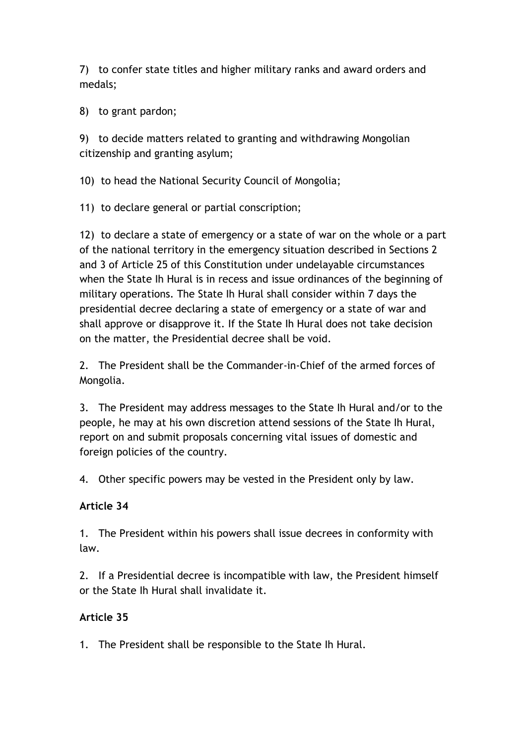7) to confer state titles and higher military ranks and award orders and medals;

8) to grant pardon;

9) to decide matters related to granting and withdrawing Mongolian citizenship and granting asylum;

10) to head the National Security Council of Mongolia;

11) to declare general or partial conscription;

12) to declare a state of emergency or a state of war on the whole or a part of the national territory in the emergency situation described in Sections 2 and 3 of Article 25 of this Constitution under undelayable circumstances when the State Ih Hural is in recess and issue ordinances of the beginning of military operations. The State Ih Hural shall consider within 7 days the presidential decree declaring a state of emergency or a state of war and shall approve or disapprove it. If the State Ih Hural does not take decision on the matter, the Presidential decree shall be void.

2. The President shall be the Commander-in-Chief of the armed forces of Mongolia.

3. The President may address messages to the State Ih Hural and/or to the people, he may at his own discretion attend sessions of the State Ih Hural, report on and submit proposals concerning vital issues of domestic and foreign policies of the country.

4. Other specific powers may be vested in the President only by law.

#### **Article 34**

1. The President within his powers shall issue decrees in conformity with law.

2. If a Presidential decree is incompatible with law, the President himself or the State Ih Hural shall invalidate it.

#### **Article 35**

1. The President shall be responsible to the State Ih Hural.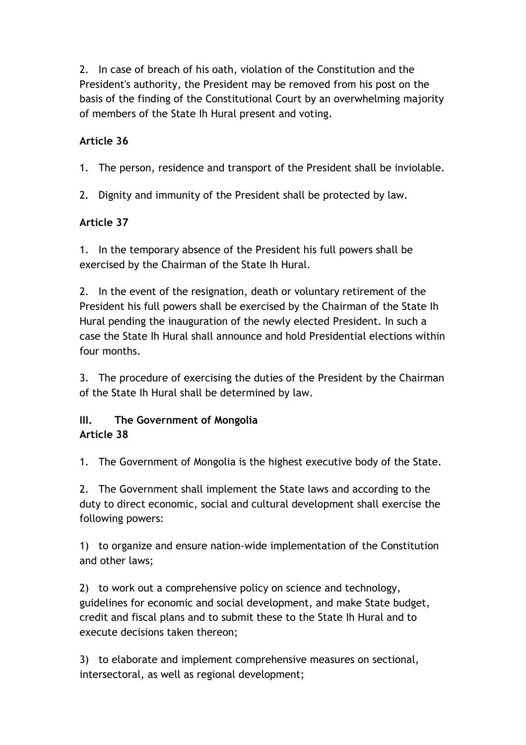2. In case of breach of his oath, violation of the Constitution and the President's authority, the President may be removed from his post on the basis of the finding of the Constitutional Court by an overwhelming majority of members of the State Ih Hural present and voting.

#### **Article 36**

1. The person, residence and transport of the President shall be inviolable.

2. Dignity and immunity of the President shall be protected by law.

#### **Article 37**

1. In the temporary absence of the President his full powers shall be exercised by the Chairman of the State Ih Hural.

2. In the event of the resignation, death or voluntary retirement of the President his full powers shall be exercised by the Chairman of the State Ih Hural pending the inauguration of the newly elected President. In such a case the State Ih Hural shall announce and hold Presidential elections within four months.

3. The procedure of exercising the duties of the President by the Chairman of the State Ih Hural shall be determined by law.

#### **III. The Government of Mongolia Article 38**

1. The Government of Mongolia is the highest executive body of the State.

2. The Government shall implement the State laws and according to the duty to direct economic, social and cultural development shall exercise the following powers:

1) to organize and ensure nation-wide implementation of the Constitution and other laws;

2) to work out a comprehensive policy on science and technology, guidelines for economic and social development, and make State budget, credit and fiscal plans and to submit these to the State Ih Hural and to execute decisions taken thereon;

3) to elaborate and implement comprehensive measures on sectional, intersectoral, as well as regional development;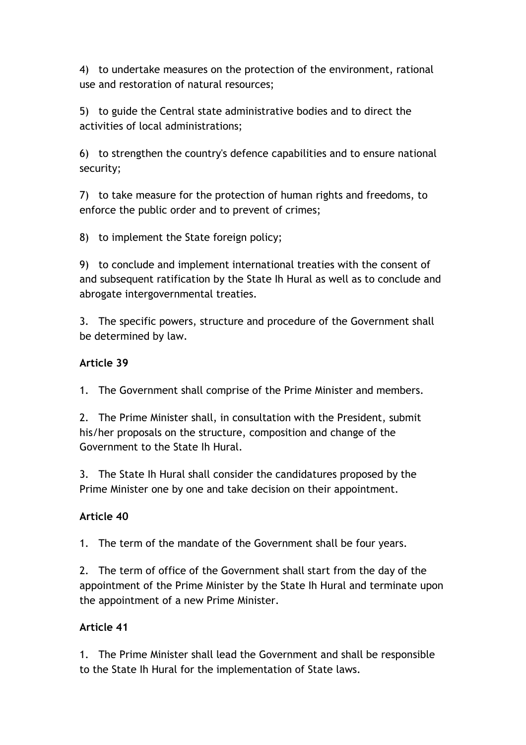4) to undertake measures on the protection of the environment, rational use and restoration of natural resources;

5) to guide the Central state administrative bodies and to direct the activities of local administrations;

6) to strengthen the country's defence capabilities and to ensure national security;

7) to take measure for the protection of human rights and freedoms, to enforce the public order and to prevent of crimes;

8) to implement the State foreign policy;

9) to conclude and implement international treaties with the consent of and subsequent ratification by the State Ih Hural as well as to conclude and abrogate intergovernmental treaties.

3. The specific powers, structure and procedure of the Government shall be determined by law.

#### **Article 39**

1. The Government shall comprise of the Prime Minister and members.

2. The Prime Minister shall, in consultation with the President, submit his/her proposals on the structure, composition and change of the Government to the State Ih Hural.

3. The State Ih Hural shall consider the candidatures proposed by the Prime Minister one by one and take decision on their appointment.

#### **Article 40**

1. The term of the mandate of the Government shall be four years.

2. The term of office of the Government shall start from the day of the appointment of the Prime Minister by the State Ih Hural and terminate upon the appointment of a new Prime Minister.

#### **Article 41**

1. The Prime Minister shall lead the Government and shall be responsible to the State Ih Hural for the implementation of State laws.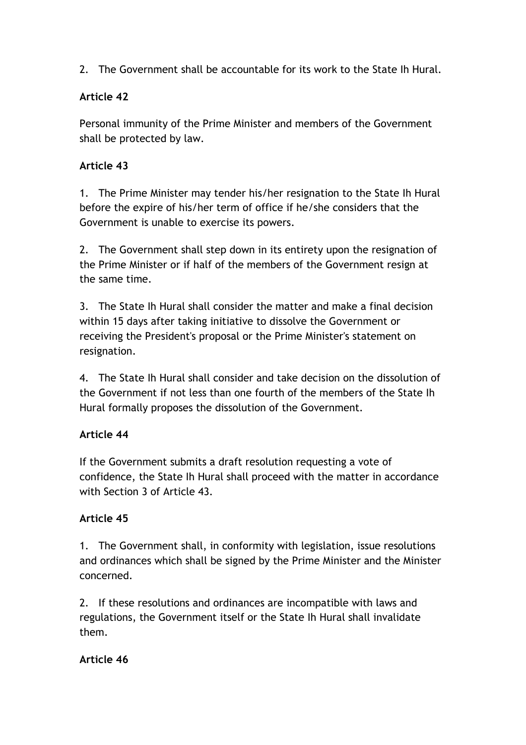2. The Government shall be accountable for its work to the State Ih Hural.

### **Article 42**

Personal immunity of the Prime Minister and members of the Government shall be protected by law.

#### **Article 43**

1. The Prime Minister may tender his/her resignation to the State Ih Hural before the expire of his/her term of office if he/she considers that the Government is unable to exercise its powers.

2. The Government shall step down in its entirety upon the resignation of the Prime Minister or if half of the members of the Government resign at the same time.

3. The State Ih Hural shall consider the matter and make a final decision within 15 days after taking initiative to dissolve the Government or receiving the President's proposal or the Prime Minister's statement on resignation.

4. The State Ih Hural shall consider and take decision on the dissolution of the Government if not less than one fourth of the members of the State Ih Hural formally proposes the dissolution of the Government.

# **Article 44**

If the Government submits a draft resolution requesting a vote of confidence, the State Ih Hural shall proceed with the matter in accordance with Section 3 of Article 43.

# **Article 45**

1. The Government shall, in conformity with legislation, issue resolutions and ordinances which shall be signed by the Prime Minister and the Minister concerned.

2. If these resolutions and ordinances are incompatible with laws and regulations, the Government itself or the State Ih Hural shall invalidate them.

#### **Article 46**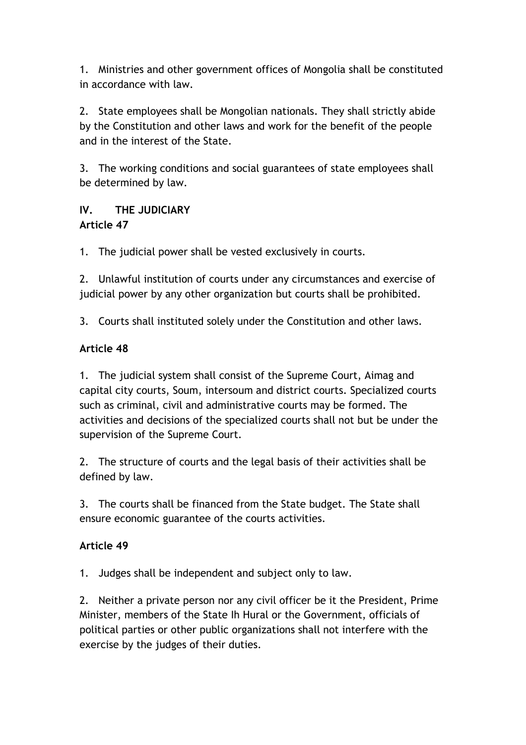1. Ministries and other government offices of Mongolia shall be constituted in accordance with law.

2. State employees shall be Mongolian nationals. They shall strictly abide by the Constitution and other laws and work for the benefit of the people and in the interest of the State.

3. The working conditions and social guarantees of state employees shall be determined by law.

### **IV. THE JUDICIARY Article 47**

1. The judicial power shall be vested exclusively in courts.

2. Unlawful institution of courts under any circumstances and exercise of judicial power by any other organization but courts shall be prohibited.

3. Courts shall instituted solely under the Constitution and other laws.

### **Article 48**

1. The judicial system shall consist of the Supreme Court, Aimag and capital city courts, Soum, intersoum and district courts. Specialized courts such as criminal, civil and administrative courts may be formed. The activities and decisions of the specialized courts shall not but be under the supervision of the Supreme Court.

2. The structure of courts and the legal basis of their activities shall be defined by law.

3. The courts shall be financed from the State budget. The State shall ensure economic guarantee of the courts activities.

#### **Article 49**

1. Judges shall be independent and subject only to law.

2. Neither a private person nor any civil officer be it the President, Prime Minister, members of the State Ih Hural or the Government, officials of political parties or other public organizations shall not interfere with the exercise by the judges of their duties.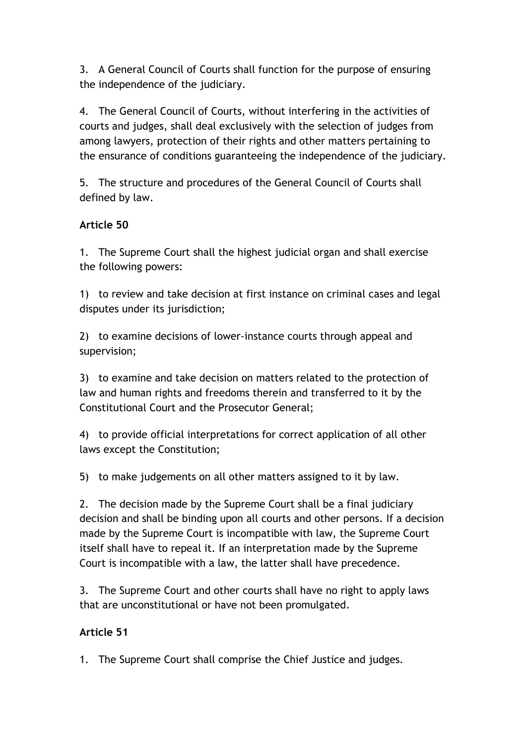3. A General Council of Courts shall function for the purpose of ensuring the independence of the judiciary.

4. The General Council of Courts, without interfering in the activities of courts and judges, shall deal exclusively with the selection of judges from among lawyers, protection of their rights and other matters pertaining to the ensurance of conditions guaranteeing the independence of the judiciary.

5. The structure and procedures of the General Council of Courts shall defined by law.

### **Article 50**

1. The Supreme Court shall the highest judicial organ and shall exercise the following powers:

1) to review and take decision at first instance on criminal cases and legal disputes under its jurisdiction;

2) to examine decisions of lower-instance courts through appeal and supervision;

3) to examine and take decision on matters related to the protection of law and human rights and freedoms therein and transferred to it by the Constitutional Court and the Prosecutor General;

4) to provide official interpretations for correct application of all other laws except the Constitution;

5) to make judgements on all other matters assigned to it by law.

2. The decision made by the Supreme Court shall be a final judiciary decision and shall be binding upon all courts and other persons. If a decision made by the Supreme Court is incompatible with law, the Supreme Court itself shall have to repeal it. If an interpretation made by the Supreme Court is incompatible with a law, the latter shall have precedence.

3. The Supreme Court and other courts shall have no right to apply laws that are unconstitutional or have not been promulgated.

# **Article 51**

1. The Supreme Court shall comprise the Chief Justice and judges.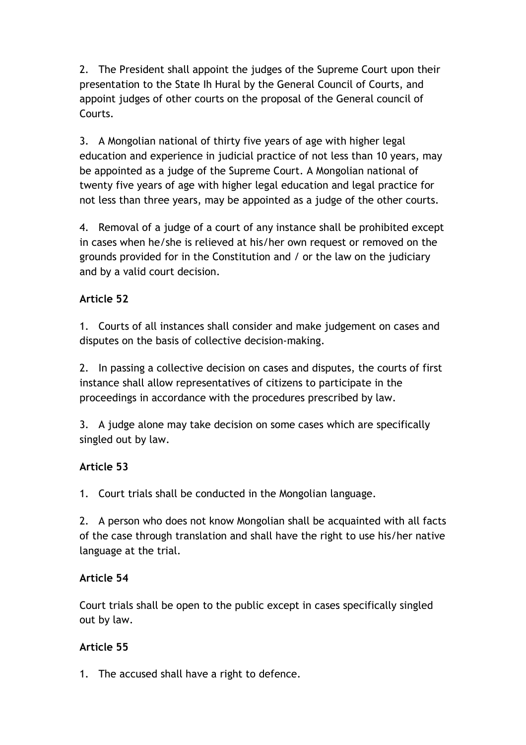2. The President shall appoint the judges of the Supreme Court upon their presentation to the State Ih Hural by the General Council of Courts, and appoint judges of other courts on the proposal of the General council of Courts.

3. A Mongolian national of thirty five years of age with higher legal education and experience in judicial practice of not less than 10 years, may be appointed as a judge of the Supreme Court. A Mongolian national of twenty five years of age with higher legal education and legal practice for not less than three years, may be appointed as a judge of the other courts.

4. Removal of a judge of a court of any instance shall be prohibited except in cases when he/she is relieved at his/her own request or removed on the grounds provided for in the Constitution and / or the law on the judiciary and by a valid court decision.

#### **Article 52**

1. Courts of all instances shall consider and make judgement on cases and disputes on the basis of collective decision-making.

2. In passing a collective decision on cases and disputes, the courts of first instance shall allow representatives of citizens to participate in the proceedings in accordance with the procedures prescribed by law.

3. A judge alone may take decision on some cases which are specifically singled out by law.

#### **Article 53**

1. Court trials shall be conducted in the Mongolian language.

2. A person who does not know Mongolian shall be acquainted with all facts of the case through translation and shall have the right to use his/her native language at the trial.

#### **Article 54**

Court trials shall be open to the public except in cases specifically singled out by law.

#### **Article 55**

1. The accused shall have a right to defence.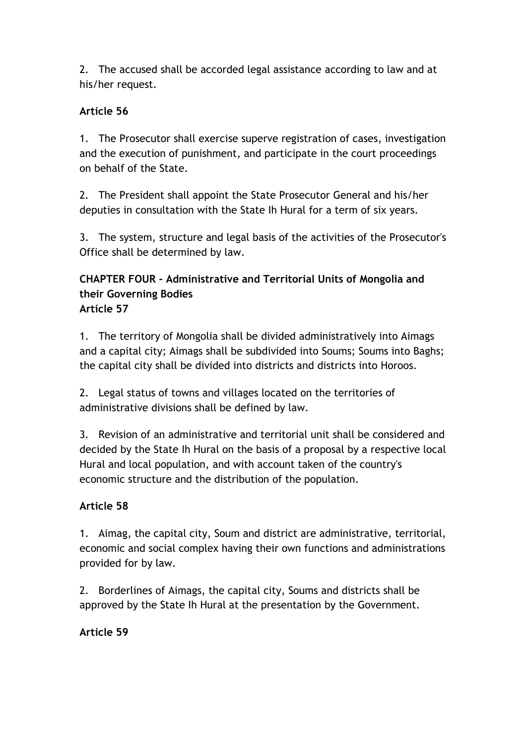2. The accused shall be accorded legal assistance according to law and at his/her request.

#### **Article 56**

1. The Prosecutor shall exercise superve registration of cases, investigation and the execution of punishment, and participate in the court proceedings on behalf of the State.

2. The President shall appoint the State Prosecutor General and his/her deputies in consultation with the State Ih Hural for a term of six years.

3. The system, structure and legal basis of the activities of the Prosecutor's Office shall be determined by law.

#### **CHAPTER FOUR - Administrative and Territorial Units of Mongolia and their Governing Bodies Article 57**

1. The territory of Mongolia shall be divided administratively into Aimags and a capital city; Aimags shall be subdivided into Soums; Soums into Baghs; the capital city shall be divided into districts and districts into Horoos.

2. Legal status of towns and villages located on the territories of administrative divisions shall be defined by law.

3. Revision of an administrative and territorial unit shall be considered and decided by the State Ih Hural on the basis of a proposal by a respective local Hural and local population, and with account taken of the country's economic structure and the distribution of the population.

# **Article 58**

1. Aimag, the capital city, Soum and district are administrative, territorial, economic and social complex having their own functions and administrations provided for by law.

2. Borderlines of Aimags, the capital city, Soums and districts shall be approved by the State Ih Hural at the presentation by the Government.

# **Article 59**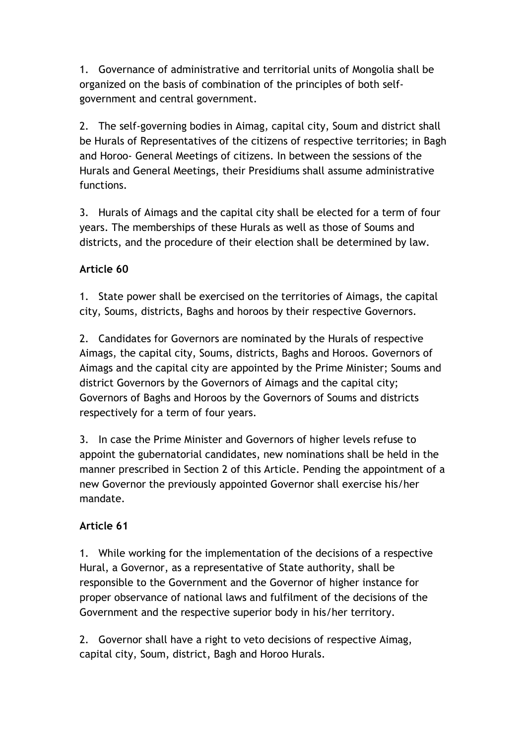1. Governance of administrative and territorial units of Mongolia shall be organized on the basis of combination of the principles of both selfgovernment and central government.

2. The self-governing bodies in Aimag, capital city, Soum and district shall be Hurals of Representatives of the citizens of respective territories; in Bagh and Horoo- General Meetings of citizens. In between the sessions of the Hurals and General Meetings, their Presidiums shall assume administrative functions.

3. Hurals of Aimags and the capital city shall be elected for a term of four years. The memberships of these Hurals as well as those of Soums and districts, and the procedure of their election shall be determined by law.

### **Article 60**

1. State power shall be exercised on the territories of Aimags, the capital city, Soums, districts, Baghs and horoos by their respective Governors.

2. Candidates for Governors are nominated by the Hurals of respective Aimags, the capital city, Soums, districts, Baghs and Horoos. Governors of Aimags and the capital city are appointed by the Prime Minister; Soums and district Governors by the Governors of Aimags and the capital city; Governors of Baghs and Horoos by the Governors of Soums and districts respectively for a term of four years.

3. In case the Prime Minister and Governors of higher levels refuse to appoint the gubernatorial candidates, new nominations shall be held in the manner prescribed in Section 2 of this Article. Pending the appointment of a new Governor the previously appointed Governor shall exercise his/her mandate.

# **Article 61**

1. While working for the implementation of the decisions of a respective Hural, a Governor, as a representative of State authority, shall be responsible to the Government and the Governor of higher instance for proper observance of national laws and fulfilment of the decisions of the Government and the respective superior body in his/her territory.

2. Governor shall have a right to veto decisions of respective Aimag, capital city, Soum, district, Bagh and Horoo Hurals.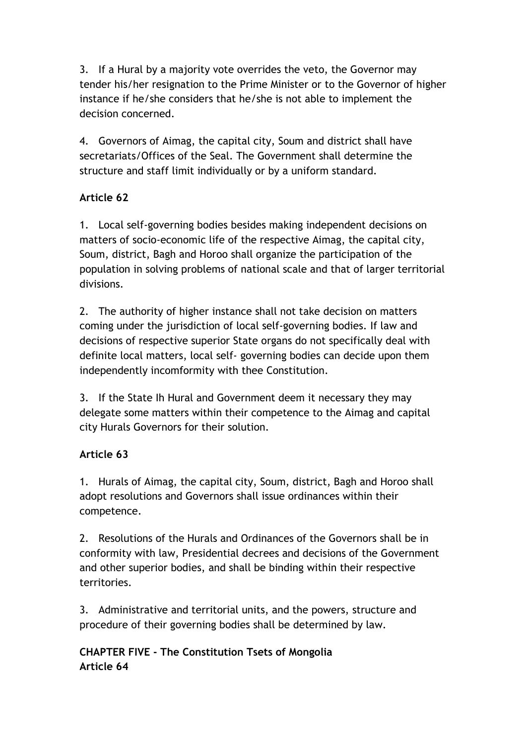3. If a Hural by a majority vote overrides the veto, the Governor may tender his/her resignation to the Prime Minister or to the Governor of higher instance if he/she considers that he/she is not able to implement the decision concerned.

4. Governors of Aimag, the capital city, Soum and district shall have secretariats/Offices of the Seal. The Government shall determine the structure and staff limit individually or by a uniform standard.

# **Article 62**

1. Local self-governing bodies besides making independent decisions on matters of socio-economic life of the respective Aimag, the capital city, Soum, district, Bagh and Horoo shall organize the participation of the population in solving problems of national scale and that of larger territorial divisions.

2. The authority of higher instance shall not take decision on matters coming under the jurisdiction of local self-governing bodies. If law and decisions of respective superior State organs do not specifically deal with definite local matters, local self- governing bodies can decide upon them independently incomformity with thee Constitution.

3. If the State Ih Hural and Government deem it necessary they may delegate some matters within their competence to the Aimag and capital city Hurals Governors for their solution.

# **Article 63**

1. Hurals of Aimag, the capital city, Soum, district, Bagh and Horoo shall adopt resolutions and Governors shall issue ordinances within their competence.

2. Resolutions of the Hurals and Ordinances of the Governors shall be in conformity with law, Presidential decrees and decisions of the Government and other superior bodies, and shall be binding within their respective territories.

3. Administrative and territorial units, and the powers, structure and procedure of their governing bodies shall be determined by law.

# **CHAPTER FIVE - The Constitution Tsets of Mongolia Article 64**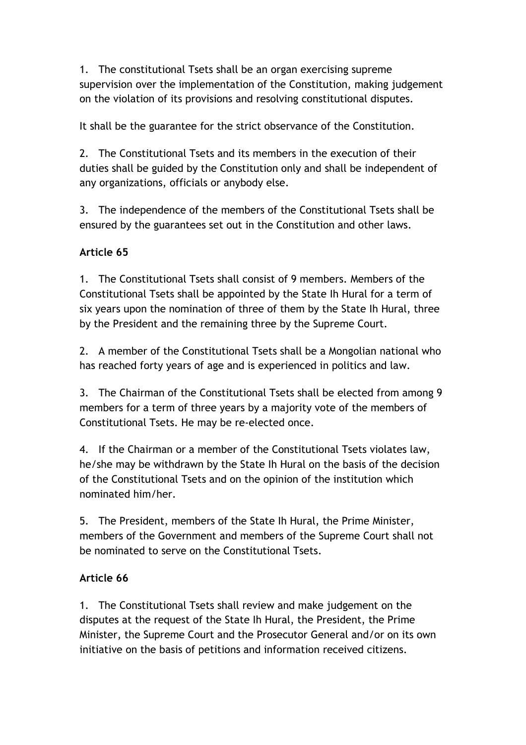1. The constitutional Tsets shall be an organ exercising supreme supervision over the implementation of the Constitution, making judgement on the violation of its provisions and resolving constitutional disputes.

It shall be the guarantee for the strict observance of the Constitution.

2. The Constitutional Tsets and its members in the execution of their duties shall be guided by the Constitution only and shall be independent of any organizations, officials or anybody else.

3. The independence of the members of the Constitutional Tsets shall be ensured by the guarantees set out in the Constitution and other laws.

# **Article 65**

1. The Constitutional Tsets shall consist of 9 members. Members of the Constitutional Tsets shall be appointed by the State Ih Hural for a term of six years upon the nomination of three of them by the State Ih Hural, three by the President and the remaining three by the Supreme Court.

2. A member of the Constitutional Tsets shall be a Mongolian national who has reached forty years of age and is experienced in politics and law.

3. The Chairman of the Constitutional Tsets shall be elected from among 9 members for a term of three years by a majority vote of the members of Constitutional Tsets. He may be re-elected once.

4. If the Chairman or a member of the Constitutional Tsets violates law, he/she may be withdrawn by the State Ih Hural on the basis of the decision of the Constitutional Tsets and on the opinion of the institution which nominated him/her.

5. The President, members of the State Ih Hural, the Prime Minister, members of the Government and members of the Supreme Court shall not be nominated to serve on the Constitutional Tsets.

#### **Article 66**

1. The Constitutional Tsets shall review and make judgement on the disputes at the request of the State Ih Hural, the President, the Prime Minister, the Supreme Court and the Prosecutor General and/or on its own initiative on the basis of petitions and information received citizens.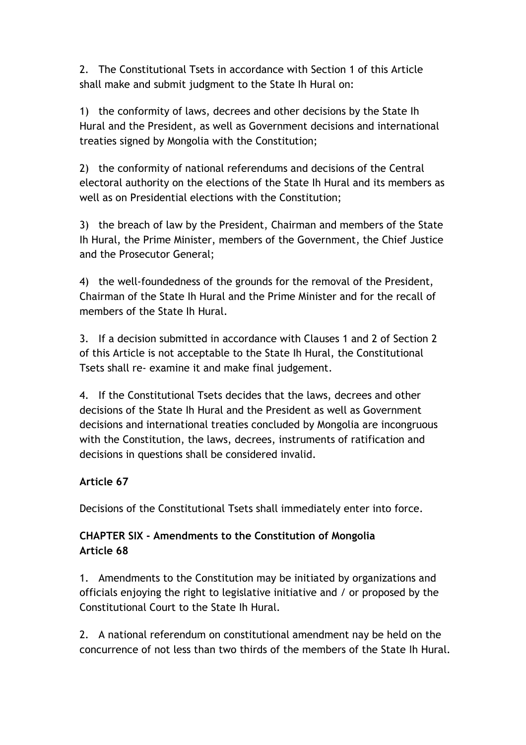2. The Constitutional Tsets in accordance with Section 1 of this Article shall make and submit judgment to the State Ih Hural on:

1) the conformity of laws, decrees and other decisions by the State Ih Hural and the President, as well as Government decisions and international treaties signed by Mongolia with the Constitution;

2) the conformity of national referendums and decisions of the Central electoral authority on the elections of the State Ih Hural and its members as well as on Presidential elections with the Constitution;

3) the breach of law by the President, Chairman and members of the State Ih Hural, the Prime Minister, members of the Government, the Chief Justice and the Prosecutor General;

4) the well-foundedness of the grounds for the removal of the President, Chairman of the State Ih Hural and the Prime Minister and for the recall of members of the State Ih Hural.

3. If a decision submitted in accordance with Clauses 1 and 2 of Section 2 of this Article is not acceptable to the State Ih Hural, the Constitutional Tsets shall re- examine it and make final judgement.

4. If the Constitutional Tsets decides that the laws, decrees and other decisions of the State Ih Hural and the President as well as Government decisions and international treaties concluded by Mongolia are incongruous with the Constitution, the laws, decrees, instruments of ratification and decisions in questions shall be considered invalid.

#### **Article 67**

Decisions of the Constitutional Tsets shall immediately enter into force.

#### **CHAPTER SIX - Amendments to the Constitution of Mongolia Article 68**

1. Amendments to the Constitution may be initiated by organizations and officials enjoying the right to legislative initiative and / or proposed by the Constitutional Court to the State Ih Hural.

2. A national referendum on constitutional amendment nay be held on the concurrence of not less than two thirds of the members of the State Ih Hural.